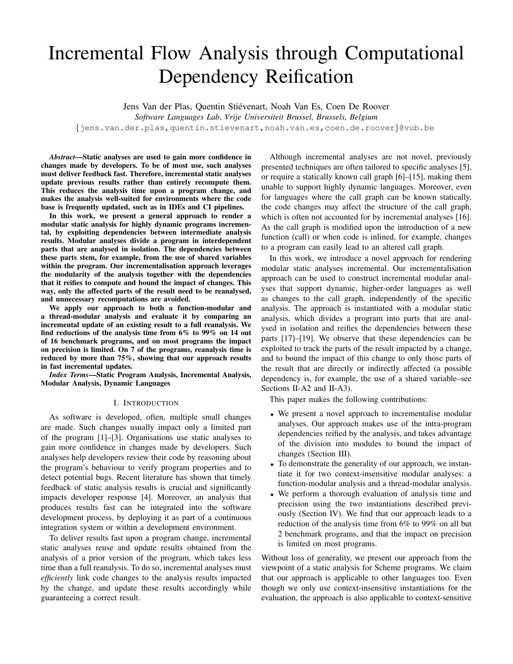# Incremental Flow Analysis through Computational Dependency Reification

Jens Van der Plas, Quentin Stiévenart, Noah Van Es, Coen De Roover

*Software Languages Lab*, *Vrije Universiteit Brussel, Brussels, Belgium*

{jens.van.der.plas,quentin.stievenart,noah.van.es,coen.de.roover}@vub.be

*Abstract*—Static analyses are used to gain more confidence in changes made by developers. To be of most use, such analyses must deliver feedback fast. Therefore, incremental static analyses update previous results rather than entirely recompute them. This reduces the analysis time upon a program change, and makes the analysis well-suited for environments where the code base is frequently updated, such as in IDEs and CI pipelines.

In this work, we present a general approach to render a modular static analysis for highly dynamic programs incremental, by exploiting dependencies between intermediate analysis results. Modular analyses divide a program in interdependent parts that are analysed in isolation. The dependencies between these parts stem, for example, from the use of shared variables within the program. Our incrementalisation approach leverages the modularity of the analysis together with the dependencies that it reifies to compute and bound the impact of changes. This way, only the affected parts of the result need to be reanalysed, and unnecessary recomputations are avoided.

We apply our approach to both a function-modular and a thread-modular analysis and evaluate it by comparing an incremental update of an existing result to a full reanalysis. We find reductions of the analysis time from 6% to 99% on 14 out of 16 benchmark programs, and on most programs the impact on precision is limited. On 7 of the programs, reanalysis time is reduced by more than 75%, showing that our approach results in fast incremental updates.

*Index Terms*—Static Program Analysis, Incremental Analysis, Modular Analysis, Dynamic Languages

## I. INTRODUCTION

As software is developed, often, multiple small changes are made. Such changes usually impact only a limited part of the program [1]–[3]. Organisations use static analyses to gain more confidence in changes made by developers. Such analyses help developers review their code by reasoning about the program's behaviour to verify program properties and to detect potential bugs. Recent literature has shown that timely feedback of static analysis results is crucial and significantly impacts developer response [4]. Moreover, an analysis that produces results fast can be integrated into the software development process, by deploying it as part of a continuous integration system or within a development environment.

To deliver results fast upon a program change, incremental static analyses reuse and update results obtained from the analysis of a prior version of the program, which takes less time than a full reanalysis. To do so, incremental analyses must *efficiently* link code changes to the analysis results impacted by the change, and update these results accordingly while guaranteeing a correct result.

Although incremental analyses are not novel, previously presented techniques are often tailored to specific analyses [5], or require a statically known call graph [6]–[15], making them unable to support highly dynamic languages. Moreover, even for languages where the call graph can be known statically, the code changes may affect the structure of the call graph, which is often not accounted for by incremental analyses [16]. As the call graph is modified upon the introduction of a new function (call) or when code is inlined, for example, changes to a program can easily lead to an altered call graph.

In this work, we introduce a novel approach for rendering modular static analyses incremental. Our incrementalisation approach can be used to construct incremental modular analyses that support dynamic, higher-order languages as well as changes to the call graph, independently of the specific analysis. The approach is instantiated with a modular static analysis, which divides a program into parts that are analysed in isolation and reifies the dependencies between these parts [17]–[19]. We observe that these dependencies can be exploited to track the parts of the result impacted by a change, and to bound the impact of this change to only those parts of the result that are directly or indirectly affected (a possible dependency is, for example, the use of a shared variable–see Sections II-A2 and II-A3).

This paper makes the following contributions:

- We present a novel approach to incrementalise modular analyses. Our approach makes use of the intra-program dependencies reified by the analysis, and takes advantage of the division into modules to bound the impact of changes (Section III).
- To demonstrate the generality of our approach, we instantiate it for two context-insensitive modular analyses: a function-modular analysis and a thread-modular analysis.
- We perform a thorough evaluation of analysis time and precision using the two instantiations described previously (Section IV). We find that our approach leads to a reduction of the analysis time from 6% to 99% on all but 2 benchmark programs, and that the impact on precision is limited on most programs.

Without loss of generality, we present our approach from the viewpoint of a static analysis for Scheme programs. We claim that our approach is applicable to other languages too. Even though we only use context-insensitive instantiations for the evaluation, the approach is also applicable to context-sensitive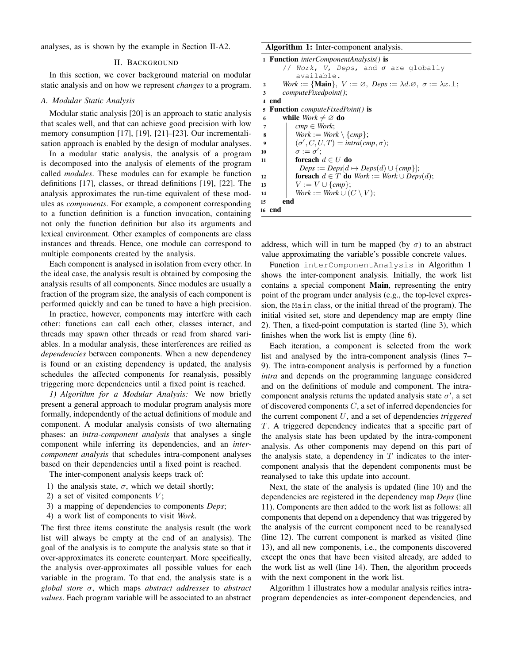analyses, as is shown by the example in Section II-A2.

#### II. BACKGROUND

In this section, we cover background material on modular static analysis and on how we represent *changes* to a program.

#### *A. Modular Static Analysis*

Modular static analysis [20] is an approach to static analysis that scales well, and that can achieve good precision with low memory consumption [17], [19], [21]–[23]. Our incrementalisation approach is enabled by the design of modular analyses.

In a modular static analysis, the analysis of a program is decomposed into the analysis of elements of the program called *modules*. These modules can for example be function definitions [17], classes, or thread definitions [19], [22]. The analysis approximates the run-time equivalent of these modules as *components*. For example, a component corresponding to a function definition is a function invocation, containing not only the function definition but also its arguments and lexical environment. Other examples of components are class instances and threads. Hence, one module can correspond to multiple components created by the analysis.

Each component is analysed in isolation from every other. In the ideal case, the analysis result is obtained by composing the analysis results of all components. Since modules are usually a fraction of the program size, the analysis of each component is performed quickly and can be tuned to have a high precision.

In practice, however, components may interfere with each other: functions can call each other, classes interact, and threads may spawn other threads or read from shared variables. In a modular analysis, these interferences are reified as *dependencies* between components. When a new dependency is found or an existing dependency is updated, the analysis schedules the affected components for reanalysis, possibly triggering more dependencies until a fixed point is reached.

*1) Algorithm for a Modular Analysis:* We now briefly present a general approach to modular program analysis more formally, independently of the actual definitions of module and component. A modular analysis consists of two alternating phases: an *intra-component analysis* that analyses a single component while inferring its dependencies, and an *intercomponent analysis* that schedules intra-component analyses based on their dependencies until a fixed point is reached.

The inter-component analysis keeps track of:

- 1) the analysis state,  $\sigma$ , which we detail shortly;
- 2) a set of visited components  $V$ ;
- 3) a mapping of dependencies to components *Deps*;
- 4) a work list of components to visit *Work*.

The first three items constitute the analysis result (the work list will always be empty at the end of an analysis). The goal of the analysis is to compute the analysis state so that it over-approximates its concrete counterpart. More specifically, the analysis over-approximates all possible values for each variable in the program. To that end, the analysis state is a *global store* σ, which maps *abstract addresses* to *abstract values*. Each program variable will be associated to an abstract Algorithm 1: Inter-component analysis.

```
1 Function interComponentAnalysis() is
        // Work, V, Deps, and \sigma are globally
            available.
2 Work := {Main}, V := \emptyset, Deps := \lambda d.\emptyset, \sigma := \lambda x.\bot;
 3 computeFixedpoint();
4 end
 5 Function computeFixedPoint() is
 6 while Work \neq \emptyset do
 7 \mid \text{cmp} \in \text{Work};\mathbf{s} | Work := Work \ {cmp};
 \mathfrak{g} \quad | \quad | \quad (\sigma', C, U, T) = \text{intra}(\text{cmp}, \sigma);10 \sigma := \sigma';11 | foreach d \in U do
             Deps := Deps[d \mapsto Deps(d) \cup \{cmp\}];12 foreach d \in T do Work := Work \cup Deps(d);13 | | V := V \cup \{cmp\};14 Work := Work \cup (C \setminus V);15 end
16 end
```
address, which will in turn be mapped (by  $\sigma$ ) to an abstract value approximating the variable's possible concrete values.

Function interComponentAnalysis in Algorithm 1 shows the inter-component analysis. Initially, the work list contains a special component Main, representing the entry point of the program under analysis (e.g., the top-level expression, the Main class, or the initial thread of the program). The initial visited set, store and dependency map are empty (line 2). Then, a fixed-point computation is started (line 3), which finishes when the work list is empty (line 6).

Each iteration, a component is selected from the work list and analysed by the intra-component analysis (lines 7– 9). The intra-component analysis is performed by a function *intra* and depends on the programming language considered and on the definitions of module and component. The intracomponent analysis returns the updated analysis state  $\sigma'$ , a set of discovered components  $C$ , a set of inferred dependencies for the current component U, and a set of dependencies *triggered* T. A triggered dependency indicates that a specific part of the analysis state has been updated by the intra-component analysis. As other components may depend on this part of the analysis state, a dependency in  $T$  indicates to the intercomponent analysis that the dependent components must be reanalysed to take this update into account.

Next, the state of the analysis is updated (line 10) and the dependencies are registered in the dependency map *Deps* (line 11). Components are then added to the work list as follows: all components that depend on a dependency that was triggered by the analysis of the current component need to be reanalysed (line 12). The current component is marked as visited (line 13), and all new components, i.e., the components discovered except the ones that have been visited already, are added to the work list as well (line 14). Then, the algorithm proceeds with the next component in the work list.

Algorithm 1 illustrates how a modular analysis reifies intraprogram dependencies as inter-component dependencies, and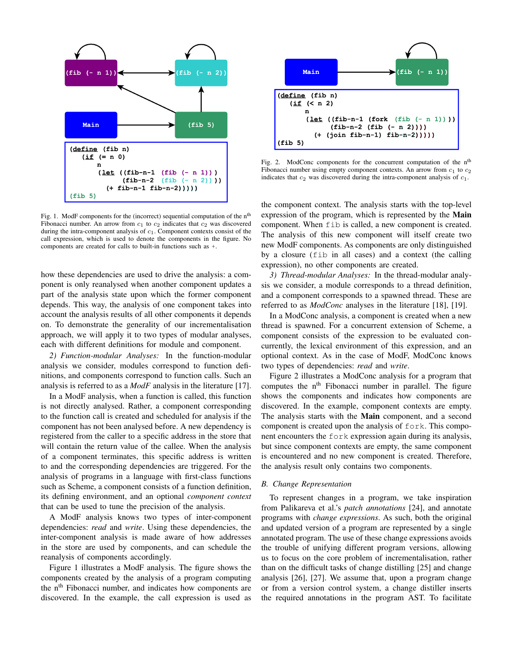

Fig. 1. ModF components for the (incorrect) sequential computation of the n<sup>th</sup> Fibonacci number. An arrow from  $c_1$  to  $c_2$  indicates that  $c_2$  was discovered during the intra-component analysis of  $c_1$ . Component contexts consist of the call expression, which is used to denote the components in the figure. No components are created for calls to built-in functions such as +.

how these dependencies are used to drive the analysis: a component is only reanalysed when another component updates a part of the analysis state upon which the former component depends. This way, the analysis of one component takes into account the analysis results of all other components it depends on. To demonstrate the generality of our incrementalisation approach, we will apply it to two types of modular analyses, each with different definitions for module and component.

*2) Function-modular Analyses:* In the function-modular analysis we consider, modules correspond to function definitions, and components correspond to function calls. Such an analysis is referred to as a *ModF* analysis in the literature [17].

In a ModF analysis, when a function is called, this function is not directly analysed. Rather, a component corresponding to the function call is created and scheduled for analysis if the component has not been analysed before. A new dependency is registered from the caller to a specific address in the store that will contain the return value of the callee. When the analysis of a component terminates, this specific address is written to and the corresponding dependencies are triggered. For the analysis of programs in a language with first-class functions such as Scheme, a component consists of a function definition, its defining environment, and an optional *component context* that can be used to tune the precision of the analysis.

A ModF analysis knows two types of inter-component dependencies: *read* and *write*. Using these dependencies, the inter-component analysis is made aware of how addresses in the store are used by components, and can schedule the reanalysis of components accordingly.

Figure 1 illustrates a ModF analysis. The figure shows the components created by the analysis of a program computing the n<sup>th</sup> Fibonacci number, and indicates how components are discovered. In the example, the call expression is used as



Fig. 2. ModConc components for the concurrent computation of the n<sup>th</sup> Fibonacci number using empty component contexts. An arrow from  $c_1$  to  $c_2$ indicates that  $c_2$  was discovered during the intra-component analysis of  $c_1$ .

the component context. The analysis starts with the top-level expression of the program, which is represented by the **Main** component. When fib is called, a new component is created. The analysis of this new component will itself create two new ModF components. As components are only distinguished by a closure (fib in all cases) and a context (the calling expression), no other components are created.

*3) Thread-modular Analyses:* In the thread-modular analysis we consider, a module corresponds to a thread definition, and a component corresponds to a spawned thread. These are referred to as *ModConc* analyses in the literature [18], [19].

In a ModConc analysis, a component is created when a new thread is spawned. For a concurrent extension of Scheme, a component consists of the expression to be evaluated concurrently, the lexical environment of this expression, and an optional context. As in the case of ModF, ModConc knows two types of dependencies: *read* and *write*.

Figure 2 illustrates a ModConc analysis for a program that computes the n<sup>th</sup> Fibonacci number in parallel. The figure shows the components and indicates how components are discovered. In the example, component contexts are empty. The analysis starts with the Main component, and a second component is created upon the analysis of fork. This component encounters the fork expression again during its analysis, but since component contexts are empty, the same component is encountered and no new component is created. Therefore, the analysis result only contains two components.

# *B. Change Representation*

To represent changes in a program, we take inspiration from Palikareva et al.'s *patch annotations* [24], and annotate programs with *change expressions*. As such, both the original and updated version of a program are represented by a single annotated program. The use of these change expressions avoids the trouble of unifying different program versions, allowing us to focus on the core problem of incrementalisation, rather than on the difficult tasks of change distilling [25] and change analysis [26], [27]. We assume that, upon a program change or from a version control system, a change distiller inserts the required annotations in the program AST. To facilitate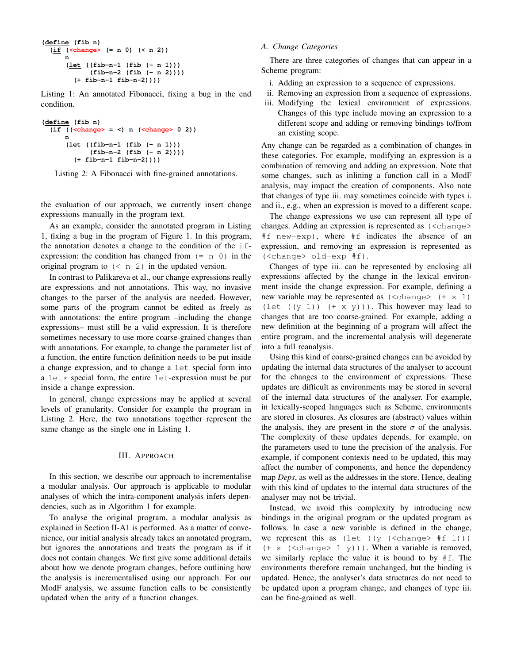```
(define (fib n)
  (if (<change> (= n 0) (< n 2))
      n
      (let ((fib-n-1 (fib (- n 1)))
            (fib-n-2 (fib (- n 2))))
        (+ fib-n-1 fib-n-2))))
```
Listing 1: An annotated Fibonacci, fixing a bug in the end condition.

```
(define (fib n)
  (if ((<change> = <) n (<change> 0 2))
     n
      (let ((fib-n-1 (fib (- n 1)))
            (fib-n-2 (fib (- n 2))))
        (+ fib-n-1 fib-n-2))))
```
Listing 2: A Fibonacci with fine-grained annotations.

the evaluation of our approach, we currently insert change expressions manually in the program text.

As an example, consider the annotated program in Listing 1, fixing a bug in the program of Figure 1. In this program, the annotation denotes a change to the condition of the ifexpression: the condition has changed from  $(= n 0)$  in the original program to  $(< n 2)$  in the updated version.

In contrast to Palikareva et al., our change expressions really are expressions and not annotations. This way, no invasive changes to the parser of the analysis are needed. However, some parts of the program cannot be edited as freely as with annotations: the entire program –including the change expressions– must still be a valid expression. It is therefore sometimes necessary to use more coarse-grained changes than with annotations. For example, to change the parameter list of a function, the entire function definition needs to be put inside a change expression, and to change a let special form into a  $let*$  special form, the entire  $let-expression$  must be put inside a change expression.

In general, change expressions may be applied at several levels of granularity. Consider for example the program in Listing 2. Here, the two annotations together represent the same change as the single one in Listing 1.

## III. APPROACH

In this section, we describe our approach to incrementalise a modular analysis. Our approach is applicable to modular analyses of which the intra-component analysis infers dependencies, such as in Algorithm 1 for example.

To analyse the original program, a modular analysis as explained in Section II-A1 is performed. As a matter of convenience, our initial analysis already takes an annotated program, but ignores the annotations and treats the program as if it does not contain changes. We first give some additional details about how we denote program changes, before outlining how the analysis is incrementalised using our approach. For our ModF analysis, we assume function calls to be consistently updated when the arity of a function changes.

#### *A. Change Categories*

There are three categories of changes that can appear in a Scheme program:

- i. Adding an expression to a sequence of expressions.
- ii. Removing an expression from a sequence of expressions.
- iii. Modifying the lexical environment of expressions. Changes of this type include moving an expression to a different scope and adding or removing bindings to/from an existing scope.

Any change can be regarded as a combination of changes in these categories. For example, modifying an expression is a combination of removing and adding an expression. Note that some changes, such as inlining a function call in a ModF analysis, may impact the creation of components. Also note that changes of type iii. may sometimes coincide with types i. and ii., e.g., when an expression is moved to a different scope.

The change expressions we use can represent all type of changes. Adding an expression is represented as (<change> #f new-exp), where #f indicates the absence of an expression, and removing an expression is represented as (<change> old-exp #f).

Changes of type iii. can be represented by enclosing all expressions affected by the change in the lexical environment inside the change expression. For example, defining a new variable may be represented as  $(\langle \text{change} \rangle \ \ (+ \ x \ 1)$ (let  $((y 1))$   $(+ x y))$ ). This however may lead to changes that are too coarse-grained. For example, adding a new definition at the beginning of a program will affect the entire program, and the incremental analysis will degenerate into a full reanalysis.

Using this kind of coarse-grained changes can be avoided by updating the internal data structures of the analyser to account for the changes to the environment of expressions. These updates are difficult as environments may be stored in several of the internal data structures of the analyser. For example, in lexically-scoped languages such as Scheme, environments are stored in closures. As closures are (abstract) values within the analysis, they are present in the store  $\sigma$  of the analysis. The complexity of these updates depends, for example, on the parameters used to tune the precision of the analysis. For example, if component contexts need to be updated, this may affect the number of components, and hence the dependency map *Deps*, as well as the addresses in the store. Hence, dealing with this kind of updates to the internal data structures of the analyser may not be trivial.

Instead, we avoid this complexity by introducing new bindings in the original program or the updated program as follows. In case a new variable is defined in the change, we represent this as  $(\text{let } ((y \text{ (change>} \# f 1))))$  $(+ x (*change* > 1 y))$ . When a variable is removed, we similarly replace the value it is bound to by #f. The environments therefore remain unchanged, but the binding is updated. Hence, the analyser's data structures do not need to be updated upon a program change, and changes of type iii. can be fine-grained as well.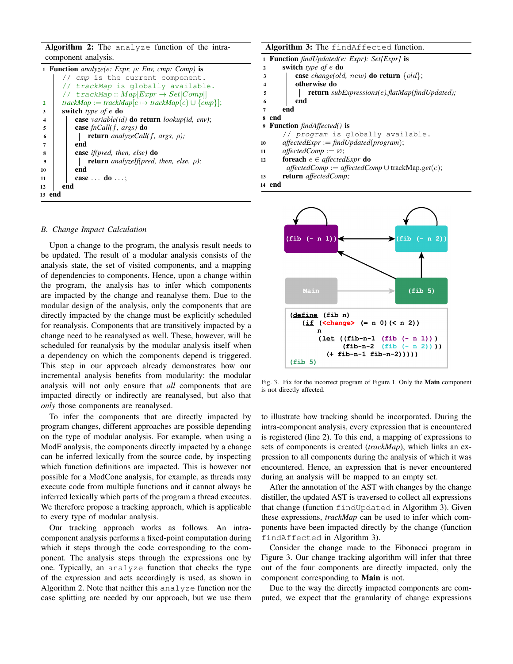Algorithm 2: The analyze function of the intracomponent analysis.

|                         | <b>1 Function</b> analyze(e: Expr, $\rho$ : Env, cmp: Comp) is |
|-------------------------|----------------------------------------------------------------|
|                         | // cmp is the current component.                               |
|                         | // trackMap is globally available.                             |
|                         | // trackMap:: $Map[Expr \rightarrow Set[Comp]]$                |
| $\mathbf{2}$            | $trackMap := trackMap[e \mapsto trackMap(e) \cup \{cmp\}];$    |
| 3                       | switch type of $e$ do                                          |
| $\overline{\mathbf{4}}$ | <b>case</b> variable(id) <b>do return</b> lookup(id, env);     |
| 5                       | case $fnCall(f, args)$ do                                      |
| 6                       | <b>return</b> analyzeCall(f, args, $\rho$ );                   |
| 7                       | end                                                            |
| 8                       | <b>case</b> <i>if</i> ( <i>pred, then, else</i> ) <b>do</b>    |
| $\boldsymbol{9}$        | <b>return</b> analyzeIf(pred, then, else, $\rho$ );            |
| 10                      | end                                                            |
| 11                      | case $\dots$ do $\dots$ ;                                      |
| 12                      | end                                                            |
|                         | 13 end                                                         |
|                         |                                                                |

#### *B. Change Impact Calculation*

Upon a change to the program, the analysis result needs to be updated. The result of a modular analysis consists of the analysis state, the set of visited components, and a mapping of dependencies to components. Hence, upon a change within the program, the analysis has to infer which components are impacted by the change and reanalyse them. Due to the modular design of the analysis, only the components that are directly impacted by the change must be explicitly scheduled for reanalysis. Components that are transitively impacted by a change need to be reanalysed as well. These, however, will be scheduled for reanalysis by the modular analysis itself when a dependency on which the components depend is triggered. This step in our approach already demonstrates how our incremental analysis benefits from modularity: the modular analysis will not only ensure that *all* components that are impacted directly or indirectly are reanalysed, but also that *only* those components are reanalysed.

To infer the components that are directly impacted by program changes, different approaches are possible depending on the type of modular analysis. For example, when using a ModF analysis, the components directly impacted by a change can be inferred lexically from the source code, by inspecting which function definitions are impacted. This is however not possible for a ModConc analysis, for example, as threads may execute code from multiple functions and it cannot always be inferred lexically which parts of the program a thread executes. We therefore propose a tracking approach, which is applicable to every type of modular analysis.

Our tracking approach works as follows. An intracomponent analysis performs a fixed-point computation during which it steps through the code corresponding to the component. The analysis steps through the expressions one by one. Typically, an analyze function that checks the type of the expression and acts accordingly is used, as shown in Algorithm 2. Note that neither this analyze function nor the case splitting are needed by our approach, but we use them

|                         | 1 <b>Function</b> findUpdated(e: Expr): Set[Expr] is                       |
|-------------------------|----------------------------------------------------------------------------|
| $\overline{2}$          | switch type of $e$ do                                                      |
| 3                       | <b>case</b> <i>change</i> ( <i>old, new</i> ) <b>do return</b> $\{old\}$ ; |
| $\overline{\mathbf{4}}$ | otherwise do                                                               |
| 5                       | <b>return</b> subExpressions(e).flatMap(findUpdated);                      |
| 6                       | end                                                                        |
| 7                       | end                                                                        |
| s end                   |                                                                            |
|                         | <b>9 Function</b> findAffected() is                                        |
|                         | // program is globally available.                                          |
| 10                      | $affectedExpr := findUpdate(program);$                                     |
| 11                      | $affectedComp := \varnothing$ ;                                            |
| 12                      | <b>foreach</b> $e \in \text{affectedExpr}$ <b>do</b>                       |
|                         | $affectedComp := affectedComp \cup trackMap.get(e);$                       |
| 13                      | return affectedComp;                                                       |
| 14 end                  |                                                                            |



Fig. 3. Fix for the incorrect program of Figure 1. Only the Main component is not directly affected.

to illustrate how tracking should be incorporated. During the intra-component analysis, every expression that is encountered is registered (line 2). To this end, a mapping of expressions to sets of components is created (*trackMap*), which links an expression to all components during the analysis of which it was encountered. Hence, an expression that is never encountered during an analysis will be mapped to an empty set.

After the annotation of the AST with changes by the change distiller, the updated AST is traversed to collect all expressions that change (function findUpdated in Algorithm 3). Given these expressions, *trackMap* can be used to infer which components have been impacted directly by the change (function findAffected in Algorithm 3).

Consider the change made to the Fibonacci program in Figure 3. Our change tracking algorithm will infer that three out of the four components are directly impacted, only the component corresponding to Main is not.

Due to the way the directly impacted components are computed, we expect that the granularity of change expressions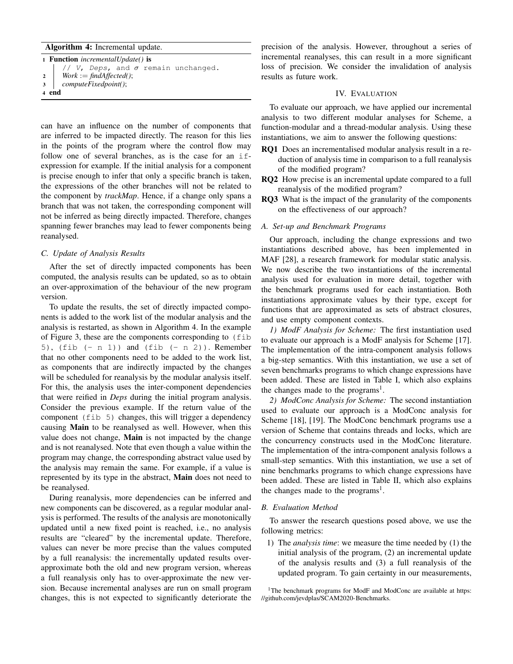# Algorithm 4: Incremental update.

| 1 <b>Function</b> <i>incrementalUpdate()</i> is |  |  |  |  |  |  |  |  |  |  |  |  |  |  |
|-------------------------------------------------|--|--|--|--|--|--|--|--|--|--|--|--|--|--|
| $// V, Deps, and \sigma remain unchanged.$      |  |  |  |  |  |  |  |  |  |  |  |  |  |  |
| 2   Work := findAffected();                     |  |  |  |  |  |  |  |  |  |  |  |  |  |  |
| 3   computeFixedpoint();                        |  |  |  |  |  |  |  |  |  |  |  |  |  |  |
| 4 end                                           |  |  |  |  |  |  |  |  |  |  |  |  |  |  |

can have an influence on the number of components that are inferred to be impacted directly. The reason for this lies in the points of the program where the control flow may follow one of several branches, as is the case for an ifexpression for example. If the initial analysis for a component is precise enough to infer that only a specific branch is taken, the expressions of the other branches will not be related to the component by *trackMap*. Hence, if a change only spans a branch that was not taken, the corresponding component will not be inferred as being directly impacted. Therefore, changes spanning fewer branches may lead to fewer components being reanalysed.

## *C. Update of Analysis Results*

After the set of directly impacted components has been computed, the analysis results can be updated, so as to obtain an over-approximation of the behaviour of the new program version.

To update the results, the set of directly impacted components is added to the work list of the modular analysis and the analysis is restarted, as shown in Algorithm 4. In the example of Figure 3, these are the components corresponding to (fib 5), (fib  $(-n 1)$ ) and (fib  $(-n 2)$ ). Remember that no other components need to be added to the work list, as components that are indirectly impacted by the changes will be scheduled for reanalysis by the modular analysis itself. For this, the analysis uses the inter-component dependencies that were reified in *Deps* during the initial program analysis. Consider the previous example. If the return value of the component (fib 5) changes, this will trigger a dependency causing Main to be reanalysed as well. However, when this value does not change, Main is not impacted by the change and is not reanalysed. Note that even though a value within the program may change, the corresponding abstract value used by the analysis may remain the same. For example, if a value is represented by its type in the abstract, **Main** does not need to be reanalysed.

During reanalysis, more dependencies can be inferred and new components can be discovered, as a regular modular analysis is performed. The results of the analysis are monotonically updated until a new fixed point is reached, i.e., no analysis results are "cleared" by the incremental update. Therefore, values can never be more precise than the values computed by a full reanalysis: the incrementally updated results overapproximate both the old and new program version, whereas a full reanalysis only has to over-approximate the new version. Because incremental analyses are run on small program changes, this is not expected to significantly deteriorate the

precision of the analysis. However, throughout a series of incremental reanalyses, this can result in a more significant loss of precision. We consider the invalidation of analysis results as future work.

#### IV. EVALUATION

To evaluate our approach, we have applied our incremental analysis to two different modular analyses for Scheme, a function-modular and a thread-modular analysis. Using these instantiations, we aim to answer the following questions:

- RQ1 Does an incrementalised modular analysis result in a reduction of analysis time in comparison to a full reanalysis of the modified program?
- RQ2 How precise is an incremental update compared to a full reanalysis of the modified program?
- RQ3 What is the impact of the granularity of the components on the effectiveness of our approach?

## *A. Set-up and Benchmark Programs*

Our approach, including the change expressions and two instantiations described above, has been implemented in MAF [28], a research framework for modular static analysis. We now describe the two instantiations of the incremental analysis used for evaluation in more detail, together with the benchmark programs used for each instantiation. Both instantiations approximate values by their type, except for functions that are approximated as sets of abstract closures, and use empty component contexts.

*1) ModF Analysis for Scheme:* The first instantiation used to evaluate our approach is a ModF analysis for Scheme [17]. The implementation of the intra-component analysis follows a big-step semantics. With this instantiation, we use a set of seven benchmarks programs to which change expressions have been added. These are listed in Table I, which also explains the changes made to the programs<sup>1</sup>.

*2) ModConc Analysis for Scheme:* The second instantiation used to evaluate our approach is a ModConc analysis for Scheme [18], [19]. The ModConc benchmark programs use a version of Scheme that contains threads and locks, which are the concurrency constructs used in the ModConc literature. The implementation of the intra-component analysis follows a small-step semantics. With this instantiation, we use a set of nine benchmarks programs to which change expressions have been added. These are listed in Table II, which also explains the changes made to the programs<sup>1</sup>.

## *B. Evaluation Method*

To answer the research questions posed above, we use the following metrics:

1) The *analysis time*: we measure the time needed by (1) the initial analysis of the program, (2) an incremental update of the analysis results and (3) a full reanalysis of the updated program. To gain certainty in our measurements,

<sup>1</sup>The benchmark programs for ModF and ModConc are available at https: //github.com/jevdplas/SCAM2020-Benchmarks.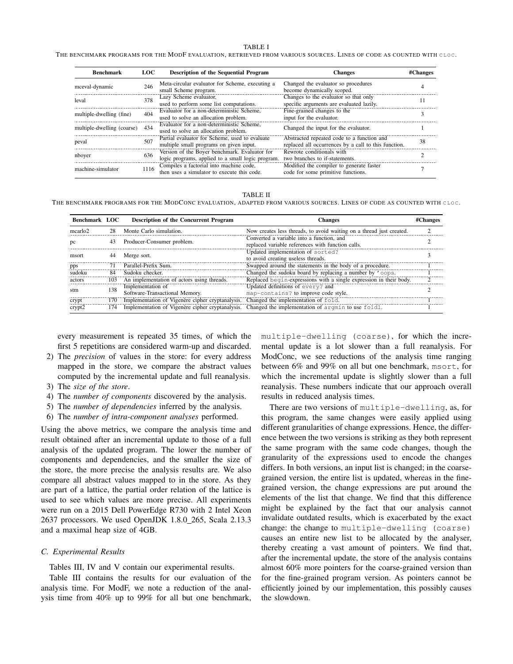#### TABLE I

THE BENCHMARK PROGRAMS FOR THE MODF EVALUATION, RETRIEVED FROM VARIOUS SOURCES. LINES OF CODE AS COUNTED WITH CLOC.

| <b>Benchmark</b>           | LOC- | Description of the Sequential Program                                                              | <b>Changes</b>                                                                                     | #Changes |
|----------------------------|------|----------------------------------------------------------------------------------------------------|----------------------------------------------------------------------------------------------------|----------|
| mceval-dynamic             | 246  | Meta-circular evaluator for Scheme, executing a<br>small Scheme program.                           | Changed the evaluator so procedures<br>become dynamically scoped.                                  |          |
| leval                      | 378  | Lazy Scheme evaluator,<br>used to perform some list computations.                                  | Changes to the evaluator so that only<br>specific arguments are evaluated lazily.                  |          |
| multiple-dwelling (fine)   | 404  | Evaluator for a non-deterministic Scheme,<br>used to solve an allocation problem.                  | Fine-grained changes to the<br>input for the evaluator.                                            |          |
| multiple-dwelling (coarse) | 434  | Evaluator for a non-deterministic Scheme,<br>used to solve an allocation problem.                  | Changed the input for the evaluator.                                                               |          |
| peval                      | 507  | Partial evaluator for Scheme, used to evaluate<br>multiple small programs on given input.          | Abstracted repeated code to a function and<br>replaced all occurrences by a call to this function. | 38       |
| nboyer                     | 636  | Version of the Boyer benchmark. Evaluator for<br>logic programs, applied to a small logic program. | Rewrote conditionals with<br>two branches to if-statements.                                        |          |
| machine-simulator          | 1116 | Compiles a factorial into machine code,<br>then uses a simulator to execute this code.             | Modified the compiler to generate faster<br>code for some primitive functions.                     |          |

TABLE II

THE BENCHMARK PROGRAMS FOR THE MODCONC EVALUATION, ADAPTED FROM VARIOUS SOURCES. LINES OF CODE AS COUNTED WITH CLOC.

| <b>Benchmark LOC</b> |     | Description of the Concurrent Program                                                | <b>Changes</b>                                                                                 | #Changes |
|----------------------|-----|--------------------------------------------------------------------------------------|------------------------------------------------------------------------------------------------|----------|
| mcarlo <sub>2</sub>  | 28  | Monte Carlo simulation.                                                              | Now creates less threads, to avoid waiting on a thread just created.                           |          |
| pc                   | 43  | Producer-Consumer problem.                                                           | Converted a variable into a function, and<br>replaced variable references with function calls. |          |
| msort                | 44  | Merge sort.                                                                          | Updated implementation of sorted?<br>to avoid creating useless threads.                        |          |
| pps                  | 71  | Parallel-Prefix Sum.                                                                 | Swapped around the statements in the body of a procedure.                                      |          |
| sudoku               | 84  | Sudoku checker.                                                                      | Changed the sudoku board by replacing a number by 'oops.                                       |          |
| actors               | 103 | An implementation of actors using threads.                                           | Replaced begin-expressions with a single expression in their body.                             |          |
| stm                  | 138 | Implementation of<br>Software-Transactional Memory.                                  | Updated definitions of every? and<br>map-contains? to improve code style.                      |          |
| crypt                | 170 | Implementation of Vigenère cipher cryptanalysis. Changed the implementation of fold. |                                                                                                |          |
| crypt <sub>2</sub>   | 174 | Implementation of Vigenère cipher cryptanalysis.                                     | Changed the implementation of argmin to use foldl.                                             |          |

every measurement is repeated 35 times, of which the first 5 repetitions are considered warm-up and discarded.

- 2) The *precision* of values in the store: for every address mapped in the store, we compare the abstract values computed by the incremental update and full reanalysis.
- 3) The *size of the store*.
- 4) The *number of components* discovered by the analysis.
- 5) The *number of dependencies* inferred by the analysis.
- 6) The *number of intra-component analyses* performed.

Using the above metrics, we compare the analysis time and result obtained after an incremental update to those of a full analysis of the updated program. The lower the number of components and dependencies, and the smaller the size of the store, the more precise the analysis results are. We also compare all abstract values mapped to in the store. As they are part of a lattice, the partial order relation of the lattice is used to see which values are more precise. All experiments were run on a 2015 Dell PowerEdge R730 with 2 Intel Xeon 2637 processors. We used OpenJDK 1.8.0 265, Scala 2.13.3 and a maximal heap size of 4GB.

## *C. Experimental Results*

Tables III, IV and V contain our experimental results.

Table III contains the results for our evaluation of the analysis time. For ModF, we note a reduction of the analysis time from 40% up to 99% for all but one benchmark, multiple-dwelling (coarse), for which the incremental update is a lot slower than a full reanalysis. For ModConc, we see reductions of the analysis time ranging between 6% and 99% on all but one benchmark, msort, for which the incremental update is slightly slower than a full reanalysis. These numbers indicate that our approach overall results in reduced analysis times.

There are two versions of multiple-dwelling, as, for this program, the same changes were easily applied using different granularities of change expressions. Hence, the difference between the two versions is striking as they both represent the same program with the same code changes, though the granularity of the expressions used to encode the changes differs. In both versions, an input list is changed; in the coarsegrained version, the entire list is updated, whereas in the finegrained version, the change expressions are put around the elements of the list that change. We find that this difference might be explained by the fact that our analysis cannot invalidate outdated results, which is exacerbated by the exact change: the change to multiple-dwelling (coarse) causes an entire new list to be allocated by the analyser, thereby creating a vast amount of pointers. We find that, after the incremental update, the store of the analysis contains almost 60% more pointers for the coarse-grained version than for the fine-grained program version. As pointers cannot be efficiently joined by our implementation, this possibly causes the slowdown.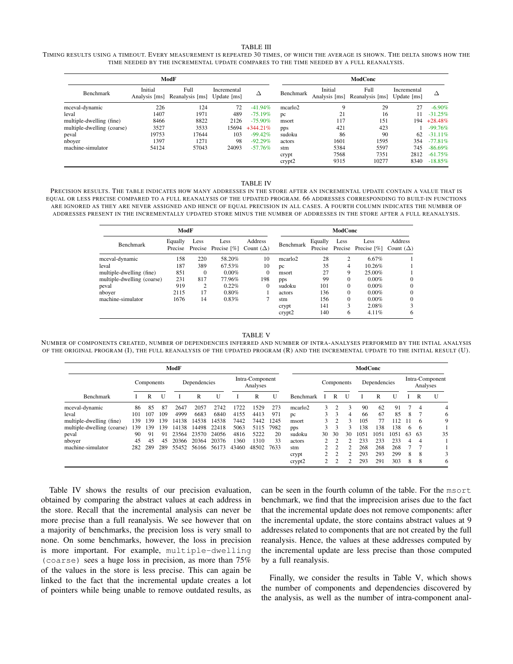#### TABLE III

TIMING RESULTS USING A TIMEOUT. EVERY MEASUREMENT IS REPEATED 30 TIMES, OF WHICH THE AVERAGE IS SHOWN. THE DELTA SHOWS HOW THE TIME NEEDED BY THE INCREMENTAL UPDATE COMPARES TO THE TIME NEEDED BY A FULL REANALYSIS.

|                            |                          | ModF                    | ModConc                                    |             |                     |                          |                         |                            |            |  |  |
|----------------------------|--------------------------|-------------------------|--------------------------------------------|-------------|---------------------|--------------------------|-------------------------|----------------------------|------------|--|--|
| Benchmark                  | Initial<br>Analysis [ms] | Full<br>Reanalysis [ms] | Incremental<br>Update $\lfloor ms \rfloor$ | Δ           | Benchmark           | Initial<br>Analysis [ms] | Full<br>Reanalysis [ms] | Incremental<br>Update [ms] | Δ          |  |  |
| mceval-dynamic             | 226                      | 124                     | 72                                         | $-41.94%$   | mcarlo <sub>2</sub> | 9                        | 29                      | 27                         | $-6.90\%$  |  |  |
| leval                      | 1407                     | 1971                    | 489                                        | $-75.19\%$  | pc                  | 21                       | 16                      |                            | $-31.25%$  |  |  |
| multiple-dwelling (fine)   | 8466                     | 8822                    | 2126                                       | $-75.90\%$  | msort               | 117                      | 151                     | 194                        | $+28.48%$  |  |  |
| multiple-dwelling (coarse) | 3527                     | 3533                    | 15694                                      | $+344.21\%$ | pps                 | 421                      | 423                     |                            | $-99.76%$  |  |  |
| peval                      | 19753                    | 17644                   | 103                                        | $-99.42%$   | sudoku              | 86                       | 90                      | 62                         | $-31.11\%$ |  |  |
| nboyer                     | 1397                     | 1271                    | 98                                         | $-92.29%$   | actors              | 1601                     | 1595                    | 354                        | $-77.81%$  |  |  |
| machine-simulator          | 54124                    | 57043                   | 24093                                      | $-57.76%$   | stm                 | 5384                     | 5597                    | 745                        | $-86.69\%$ |  |  |
|                            |                          |                         |                                            |             | crypt               | 7568                     | 7351                    | 2812                       | $-61.75%$  |  |  |
|                            |                          |                         |                                            |             | crypt2              | 9315                     | 10277                   | 8340                       | $-18.85%$  |  |  |

#### TABLE IV

PRECISION RESULTS. THE TABLE INDICATES HOW MANY ADDRESSES IN THE STORE AFTER AN INCREMENTAL UPDATE CONTAIN A VALUE THAT IS EQUAL OR LESS PRECISE COMPARED TO A FULL REANALYSIS OF THE UPDATED PROGRAM. 66 ADDRESSES CORRESPONDING TO BUILT-IN FUNCTIONS ARE IGNORED AS THEY ARE NEVER ASSIGNED AND HENCE OF EQUAL PRECISION IN ALL CASES. A FOURTH COLUMN INDICATES THE NUMBER OF ADDRESSES PRESENT IN THE INCREMENTALLY UPDATED STORE MINUS THE NUMBER OF ADDRESSES IN THE STORE AFTER A FULL REANALYSIS.

|                            | ModF               |                |                                |                             | <b>ModCone</b>      |                    |          |                             |                             |
|----------------------------|--------------------|----------------|--------------------------------|-----------------------------|---------------------|--------------------|----------|-----------------------------|-----------------------------|
| Benchmark                  | Equally<br>Precise | Less           | Less<br>Precise Precise $[\%]$ | Address<br>Count $(\Delta)$ | Benchmark           | Equally<br>Precise | Less     | Less<br>Precise Precise [%] | Address<br>Count $(\Delta)$ |
| mceval-dynamic             | 158                | 220            | 58.20%                         | 10                          | mcarlo <sub>2</sub> | 28                 | 2        | 6.67%                       |                             |
| leval                      | 187                | 389            | 67.53%                         | 10                          | DC                  | 35                 | 4        | 10.26%                      |                             |
| multiple-dwelling (fine)   | 851                | $\Omega$       | $0.00\%$                       | $\mathbf{0}$                | msort               | 27                 | 9        | 25.00%                      |                             |
| multiple-dwelling (coarse) | 231                | 817            | 77.96%                         | 198                         | pps                 | 99                 | $\theta$ | $0.00\%$                    | 0                           |
| peval                      | 919                | $\overline{c}$ | 0.22%                          | $\mathbf{0}$                | sudoku              | 101                | $\theta$ | $0.00\%$                    | $\Omega$                    |
| nbover                     | 2115               | 17             | 0.80%                          |                             | actors              | 136                | $\theta$ | $0.00\%$                    | $\Omega$                    |
| machine-simulator          | 1676               | 14             | 0.83%                          | 7                           | stm                 | 156                | $\theta$ | $0.00\%$                    | 0                           |
|                            |                    |                |                                |                             | crypt               | 141                | 3        | 2.08%                       | 3                           |
|                            |                    |                |                                |                             | crypt2              | 140                | 6        | 4.11%                       | 6                           |

TABLE V

NUMBER OF COMPONENTS CREATED, NUMBER OF DEPENDENCIES INFERRED AND NUMBER OF INTRA-ANALYSES PERFORMED BY THE INTIAL ANALYSIS OF THE ORIGINAL PROGRAM (I), THE FULL REANALYSIS OF THE UPDATED PROGRAM (R) AND THE INCREMENTAL UPDATE TO THE INITIAL RESULT (U).

|                            |            |     |     |              |       | <b>ModConc</b> |                             |       |      |                     |                |                    |               |      |      |                             |    |                |    |
|----------------------------|------------|-----|-----|--------------|-------|----------------|-----------------------------|-------|------|---------------------|----------------|--------------------|---------------|------|------|-----------------------------|----|----------------|----|
|                            | Components |     |     | Dependencies |       |                | Intra-Component<br>Analyses |       |      | Components          |                |                    | Dependencies  |      |      | Intra-Component<br>Analyses |    |                |    |
| Benchmark                  |            | R   | U   |              | R     | U              |                             | R     | U    | Benchmark           |                | R                  |               |      | R    | U                           |    | R              | U  |
| mceval-dynamic             | 86         | 85  | 87  | 2647         | 2057  | 2742           | 1722                        | 1529  | 273  | mcarlo <sub>2</sub> | 3              | $\overline{c}$     | 3             | 90   | 62   | 91                          |    | $\overline{4}$ |    |
| leval                      | 101        | 107 | 109 | 4999         | 6683  | 6840           | 4155                        | 4413  | 971  | pc                  | 3              | 3                  | 4             | 66   | 67   | 85                          | 8  |                |    |
| multiple-dwelling (fine)   | 139        | 139 | 139 | 14138        | 14538 | 14538          | 7442                        | 7442  | 1245 | msort               | 3              | っ                  | $\mathbf{3}$  | 105  | 77   | 112                         |    | 6              |    |
| multiple-dwelling (coarse) | 39         | 139 | 139 | 14138        | 14498 | 22418          | 5063                        | 5115  | 7982 | pps                 | 3              | $\mathbf{\hat{z}}$ | ٩             | 138  | 138  | 138                         | 6  | 6              |    |
| peval                      | 90         | 91  | 91  | 23564        | 23570 | 24056          | 4816                        | 5222  | 20   | sudoku              | 30             | 30                 | 30            | 1051 | 1051 | 1051                        | 63 | -63            | 35 |
| nboyer                     | 45         | 45  | 45  | 20366        | 20364 | 20376          | 1360                        | 1310  | 33   | actors              |                |                    |               | 233  | 233  | 233                         | 4  | 4              |    |
| machine-simulator          | 282        | 289 | 289 | 55452        | 56166 | 56173          | 43460                       | 48502 | 7633 | stm                 |                | າ                  | $\mathcal{L}$ | 268  | 268  | 268                         |    |                |    |
|                            |            |     |     |              |       |                |                             |       |      | crypt               |                |                    |               | 293  | 293  | 299                         | 8  | 8              |    |
|                            |            |     |     |              |       |                |                             |       |      | crypt2              | $\mathfrak{2}$ | 2                  | $\mathcal{D}$ | 293  | 291  | 303                         | 8  | 8              |    |

Table IV shows the results of our precision evaluation, obtained by comparing the abstract values at each address in the store. Recall that the incremental analysis can never be more precise than a full reanalysis. We see however that on a majority of benchmarks, the precision loss is very small to none. On some benchmarks, however, the loss in precision is more important. For example, multiple-dwelling (coarse) sees a huge loss in precision, as more than 75% of the values in the store is less precise. This can again be linked to the fact that the incremental update creates a lot of pointers while being unable to remove outdated results, as

can be seen in the fourth column of the table. For the msort benchmark, we find that the imprecision arises due to the fact that the incremental update does not remove components: after the incremental update, the store contains abstract values at 9 addresses related to components that are not created by the full reanalysis. Hence, the values at these addresses computed by the incremental update are less precise than those computed by a full reanalysis.

Finally, we consider the results in Table V, which shows the number of components and dependencies discovered by the analysis, as well as the number of intra-component anal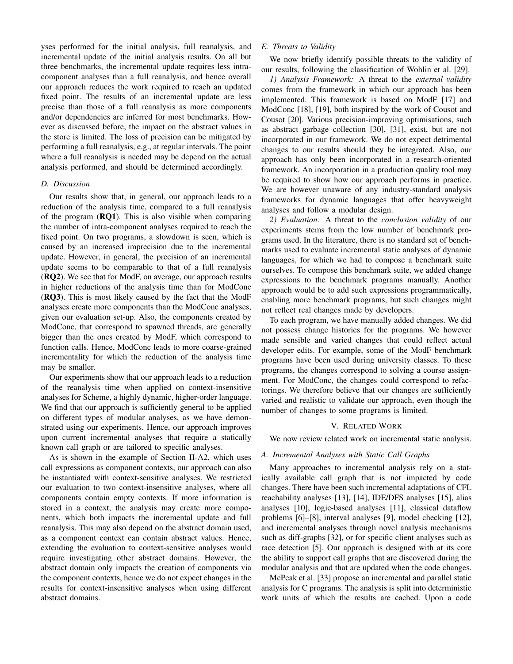yses performed for the initial analysis, full reanalysis, and incremental update of the initial analysis results. On all but three benchmarks, the incremental update requires less intracomponent analyses than a full reanalysis, and hence overall our approach reduces the work required to reach an updated fixed point. The results of an incremental update are less precise than those of a full reanalysis as more components and/or dependencies are inferred for most benchmarks. However as discussed before, the impact on the abstract values in the store is limited. The loss of precision can be mitigated by performing a full reanalysis, e.g., at regular intervals. The point where a full reanalysis is needed may be depend on the actual analysis performed, and should be determined accordingly.

## *D. Discussion*

Our results show that, in general, our approach leads to a reduction of the analysis time, compared to a full reanalysis of the program  $(RQ1)$ . This is also visible when comparing the number of intra-component analyses required to reach the fixed point. On two programs, a slowdown is seen, which is caused by an increased imprecision due to the incremental update. However, in general, the precision of an incremental update seems to be comparable to that of a full reanalysis (RQ2). We see that for ModF, on average, our approach results in higher reductions of the analysis time than for ModConc (RQ3). This is most likely caused by the fact that the ModF analyses create more components than the ModConc analyses, given our evaluation set-up. Also, the components created by ModConc, that correspond to spawned threads, are generally bigger than the ones created by ModF, which correspond to function calls. Hence, ModConc leads to more coarse-grained incrementality for which the reduction of the analysis time may be smaller.

Our experiments show that our approach leads to a reduction of the reanalysis time when applied on context-insensitive analyses for Scheme, a highly dynamic, higher-order language. We find that our approach is sufficiently general to be applied on different types of modular analyses, as we have demonstrated using our experiments. Hence, our approach improves upon current incremental analyses that require a statically known call graph or are tailored to specific analyses.

As is shown in the example of Section II-A2, which uses call expressions as component contexts, our approach can also be instantiated with context-sensitive analyses. We restricted our evaluation to two context-insensitive analyses, where all components contain empty contexts. If more information is stored in a context, the analysis may create more components, which both impacts the incremental update and full reanalysis. This may also depend on the abstract domain used, as a component context can contain abstract values. Hence, extending the evaluation to context-sensitive analyses would require investigating other abstract domains. However, the abstract domain only impacts the creation of components via the component contexts, hence we do not expect changes in the results for context-insensitive analyses when using different abstract domains.

# *E. Threats to Validity*

We now briefly identify possible threats to the validity of our results, following the classification of Wohlin et al. [29].

*1) Analysis Framework:* A threat to the *external validity* comes from the framework in which our approach has been implemented. This framework is based on ModF [17] and ModConc [18], [19], both inspired by the work of Cousot and Cousot [20]. Various precision-improving optimisations, such as abstract garbage collection [30], [31], exist, but are not incorporated in our framework. We do not expect detrimental changes to our results should they be integrated. Also, our approach has only been incorporated in a research-oriented framework. An incorporation in a production quality tool may be required to show how our approach performs in practice. We are however unaware of any industry-standard analysis frameworks for dynamic languages that offer heavyweight analyses and follow a modular design.

*2) Evaluation:* A threat to the *conclusion validity* of our experiments stems from the low number of benchmark programs used. In the literature, there is no standard set of benchmarks used to evaluate incremental static analyses of dynamic languages, for which we had to compose a benchmark suite ourselves. To compose this benchmark suite, we added change expressions to the benchmark programs manually. Another approach would be to add such expressions programmatically, enabling more benchmark programs, but such changes might not reflect real changes made by developers.

To each program, we have manually added changes. We did not possess change histories for the programs. We however made sensible and varied changes that could reflect actual developer edits. For example, some of the ModF benchmark programs have been used during university classes. To these programs, the changes correspond to solving a course assignment. For ModConc, the changes could correspond to refactorings. We therefore believe that our changes are sufficiently varied and realistic to validate our approach, even though the number of changes to some programs is limited.

# V. RELATED WORK

We now review related work on incremental static analysis.

# *A. Incremental Analyses with Static Call Graphs*

Many approaches to incremental analysis rely on a statically available call graph that is not impacted by code changes. There have been such incremental adaptations of CFL reachability analyses [13], [14], IDE/DFS analyses [15], alias analyses [10], logic-based analyses [11], classical dataflow problems [6]–[8], interval analyses [9], model checking [12], and incremental analyses through novel analysis mechanisms such as diff-graphs [32], or for specific client analyses such as race detection [5]. Our approach is designed with at its core the ability to support call graphs that are discovered during the modular analysis and that are updated when the code changes.

McPeak et al. [33] propose an incremental and parallel static analysis for C programs. The analysis is split into deterministic work units of which the results are cached. Upon a code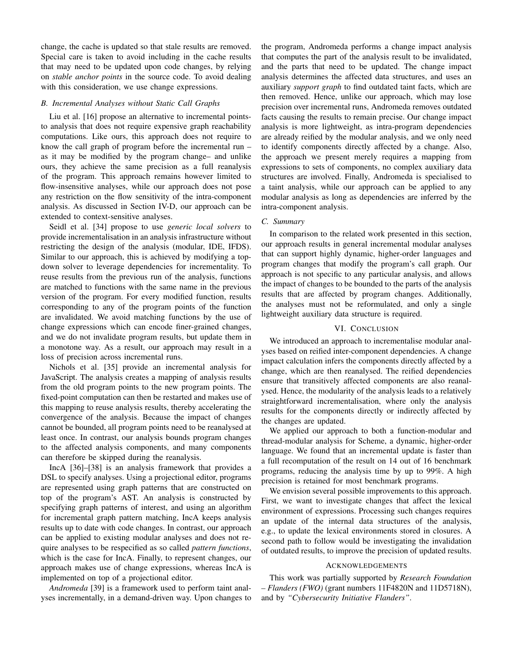change, the cache is updated so that stale results are removed. Special care is taken to avoid including in the cache results that may need to be updated upon code changes, by relying on *stable anchor points* in the source code. To avoid dealing with this consideration, we use change expressions.

#### *B. Incremental Analyses without Static Call Graphs*

Liu et al. [16] propose an alternative to incremental pointsto analysis that does not require expensive graph reachability computations. Like ours, this approach does not require to know the call graph of program before the incremental run – as it may be modified by the program change– and unlike ours, they achieve the same precision as a full reanalysis of the program. This approach remains however limited to flow-insensitive analyses, while our approach does not pose any restriction on the flow sensitivity of the intra-component analysis. As discussed in Section IV-D, our approach can be extended to context-sensitive analyses.

Seidl et al. [34] propose to use *generic local solvers* to provide incrementalisation in an analysis infrastructure without restricting the design of the analysis (modular, IDE, IFDS). Similar to our approach, this is achieved by modifying a topdown solver to leverage dependencies for incrementality. To reuse results from the previous run of the analysis, functions are matched to functions with the same name in the previous version of the program. For every modified function, results corresponding to any of the program points of the function are invalidated. We avoid matching functions by the use of change expressions which can encode finer-grained changes, and we do not invalidate program results, but update them in a monotone way. As a result, our approach may result in a loss of precision across incremental runs.

Nichols et al. [35] provide an incremental analysis for JavaScript. The analysis creates a mapping of analysis results from the old program points to the new program points. The fixed-point computation can then be restarted and makes use of this mapping to reuse analysis results, thereby accelerating the convergence of the analysis. Because the impact of changes cannot be bounded, all program points need to be reanalysed at least once. In contrast, our analysis bounds program changes to the affected analysis components, and many components can therefore be skipped during the reanalysis.

IncA [36]–[38] is an analysis framework that provides a DSL to specify analyses. Using a projectional editor, programs are represented using graph patterns that are constructed on top of the program's AST. An analysis is constructed by specifying graph patterns of interest, and using an algorithm for incremental graph pattern matching, IncA keeps analysis results up to date with code changes. In contrast, our approach can be applied to existing modular analyses and does not require analyses to be respecified as so called *pattern functions*, which is the case for IncA. Finally, to represent changes, our approach makes use of change expressions, whereas IncA is implemented on top of a projectional editor.

*Andromeda* [39] is a framework used to perform taint analyses incrementally, in a demand-driven way. Upon changes to the program, Andromeda performs a change impact analysis that computes the part of the analysis result to be invalidated, and the parts that need to be updated. The change impact analysis determines the affected data structures, and uses an auxiliary *support graph* to find outdated taint facts, which are then removed. Hence, unlike our approach, which may lose precision over incremental runs, Andromeda removes outdated facts causing the results to remain precise. Our change impact analysis is more lightweight, as intra-program dependencies are already reified by the modular analysis, and we only need to identify components directly affected by a change. Also, the approach we present merely requires a mapping from expressions to sets of components, no complex auxiliary data structures are involved. Finally, Andromeda is specialised to a taint analysis, while our approach can be applied to any modular analysis as long as dependencies are inferred by the intra-component analysis.

# *C. Summary*

In comparison to the related work presented in this section, our approach results in general incremental modular analyses that can support highly dynamic, higher-order languages and program changes that modify the program's call graph. Our approach is not specific to any particular analysis, and allows the impact of changes to be bounded to the parts of the analysis results that are affected by program changes. Additionally, the analyses must not be reformulated, and only a single lightweight auxiliary data structure is required.

#### VI. CONCLUSION

We introduced an approach to incrementalise modular analyses based on reified inter-component dependencies. A change impact calculation infers the components directly affected by a change, which are then reanalysed. The reified dependencies ensure that transitively affected components are also reanalysed. Hence, the modularity of the analysis leads to a relatively straightforward incrementalisation, where only the analysis results for the components directly or indirectly affected by the changes are updated.

We applied our approach to both a function-modular and thread-modular analysis for Scheme, a dynamic, higher-order language. We found that an incremental update is faster than a full recomputation of the result on 14 out of 16 benchmark programs, reducing the analysis time by up to 99%. A high precision is retained for most benchmark programs.

We envision several possible improvements to this approach. First, we want to investigate changes that affect the lexical environment of expressions. Processing such changes requires an update of the internal data structures of the analysis, e.g., to update the lexical environments stored in closures. A second path to follow would be investigating the invalidation of outdated results, to improve the precision of updated results.

## ACKNOWLEDGEMENTS

This work was partially supported by *Research Foundation – Flanders (FWO)* (grant numbers 11F4820N and 11D5718N), and by *"Cybersecurity Initiative Flanders"*.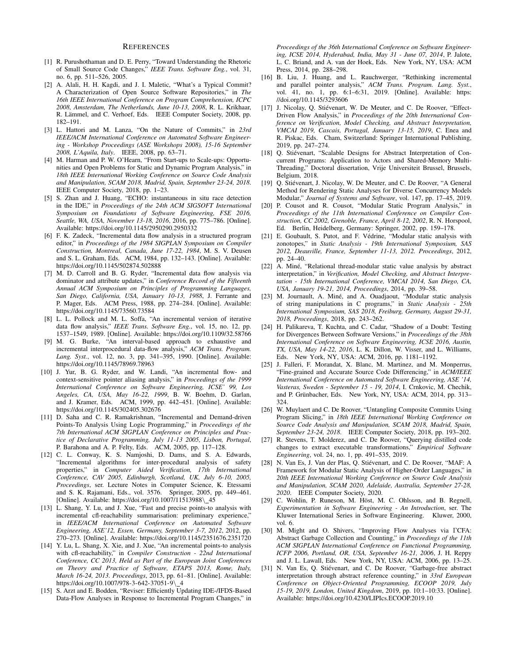#### **REFERENCES**

- [1] R. Purushothaman and D. E. Perry, "Toward Understanding the Rhetoric of Small Source Code Changes," *IEEE Trans. Software Eng.*, vol. 31, no. 6, pp. 511–526, 2005.
- [2] A. Alali, H. H. Kagdi, and J. I. Maletic, "What's a Typical Commit? A Characterization of Open Source Software Repositories," in *The 16th IEEE International Conference on Program Comprehension, ICPC 2008, Amsterdam, The Netherlands, June 10-13, 2008*, R. L. Krikhaar, R. Lämmel, and C. Verhoef, Eds. IEEE Computer Society, 2008, pp. 182–191.
- [3] L. Hattori and M. Lanza, "On the Nature of Commits," in *23rd IEEE/ACM International Conference on Automated Software Engineering - Workshop Proceedings (ASE Workshops 2008), 15-16 September 2008, L'Aquila, Italy*. IEEE, 2008, pp. 63–71.
- [4] M. Harman and P. W. O'Hearn, "From Start-ups to Scale-ups: Opportunities and Open Problems for Static and Dynamic Program Analysis," in *18th IEEE International Working Conference on Source Code Analysis and Manipulation, SCAM 2018, Madrid, Spain, September 23-24, 2018*. IEEE Computer Society, 2018, pp. 1–23.
- [5] S. Zhan and J. Huang, "ECHO: instantaneous in situ race detection in the IDE," in *Proceedings of the 24th ACM SIGSOFT International Symposium on Foundations of Software Engineering, FSE 2016, Seattle, WA, USA, November 13-18, 2016*, 2016, pp. 775–786. [Online]. Available: https://doi.org/10.1145/2950290.2950332
- [6] F. K. Zadeck, "Incremental data flow analysis in a structured program editor," in *Proceedings of the 1984 SIGPLAN Symposium on Compiler Construction, Montreal, Canada, June 17-22, 1984*, M. S. V. Deusen and S. L. Graham, Eds. ACM, 1984, pp. 132–143. [Online]. Available: https://doi.org/10.1145/502874.502888
- [7] M. D. Carroll and B. G. Ryder, "Incremental data flow analysis via dominator and attribute updates," in *Conference Record of the Fifteenth Annual ACM Symposium on Principles of Programming Languages, San Diego, California, USA, January 10-13, 1988*, J. Ferrante and P. Mager, Eds. ACM Press, 1988, pp. 274–284. [Online]. Available: https://doi.org/10.1145/73560.73584
- [8] L. L. Pollock and M. L. Soffa, "An incremental version of iterative data flow analysis," *IEEE Trans. Software Eng.*, vol. 15, no. 12, pp. 1537–1549, 1989. [Online]. Available: https://doi.org/10.1109/32.58766
- [9] M. G. Burke, "An interval-based approach to exhaustive and incremental interprocedural data-flow analysis," *ACM Trans. Program. Lang. Syst.*, vol. 12, no. 3, pp. 341–395, 1990. [Online]. Available: https://doi.org/10.1145/78969.78963
- [10] J. Yur, B. G. Ryder, and W. Landi, "An incremental flow- and context-sensitive pointer aliasing analysis," in *Proceedings of the 1999 International Conference on Software Engineering, ICSE' 99, Los Angeles, CA, USA, May 16-22, 1999*, B. W. Boehm, D. Garlan, and J. Kramer, Eds. ACM, 1999, pp. 442–451. [Online]. Available: https://doi.org/10.1145/302405.302676
- [11] D. Saha and C. R. Ramakrishnan, "Incremental and Demand-driven Points-To Analysis Using Logic Programming," in *Proceedings of the 7th International ACM SIGPLAN Conference on Principles and Practice of Declarative Programming, July 11-13 2005, Lisbon, Portugal*, P. Barahona and A. P. Felty, Eds. ACM, 2005, pp. 117–128.
- [12] C. L. Conway, K. S. Namjoshi, D. Dams, and S. A. Edwards, "Incremental algorithms for inter-procedural analysis of safety properties," in *Computer Aided Verification, 17th International Conference, CAV 2005, Edinburgh, Scotland, UK, July 6-10, 2005, Proceedings*, ser. Lecture Notes in Computer Science, K. Etessami and S. K. Rajamani, Eds., vol. 3576. Springer, 2005, pp. 449–461. [Online]. Available: https://doi.org/10.1007/11513988\\_45
- [13] L. Shang, Y. Lu, and J. Xue, "Fast and precise points-to analysis with incremental cfl-reachability summarisation: preliminary experience," in *IEEE/ACM International Conference on Automated Software Engineering, ASE'12, Essen, Germany, September 3-7, 2012*, 2012, pp. 270–273. [Online]. Available: https://doi.org/10.1145/2351676.2351720
- [14] Y. Lu, L. Shang, X. Xie, and J. Xue, "An incremental points-to analysis with cfl-reachability," in *Compiler Construction - 22nd International Conference, CC 2013, Held as Part of the European Joint Conferences on Theory and Practice of Software, ETAPS 2013, Rome, Italy, March 16-24, 2013. Proceedings*, 2013, pp. 61–81. [Online]. Available: https://doi.org/10.1007/978-3-642-37051-9\\_4
- [15] S. Arzt and E. Bodden, "Reviser: Efficiently Updating IDE-/IFDS-Based Data-Flow Analyses in Response to Incremental Program Changes," in

*Proceedings of the 36th International Conference on Software Engineering, ICSE 2014, Hyderabad, India, May 31 - June 07, 2014*, P. Jalote, L. C. Briand, and A. van der Hoek, Eds. New York, NY, USA: ACM Press, 2014, pp. 288–298.

- [16] B. Liu, J. Huang, and L. Rauchwerger, "Rethinking incremental and parallel pointer analysis," *ACM Trans. Program. Lang. Syst.*, vol. 41, no. 1, pp. 6:1–6:31, 2019. [Online]. Available: https: //doi.org/10.1145/3293606
- [17] J. Nicolay, Q. Stiévenart, W. De Meuter, and C. De Roover, "Effect-Driven Flow Analysis," in *Proceedings of the 20th International Conference on Verification, Model Checking, and Abstract Interpretation, VMCAI 2019, Cascais, Portugal, January 13-15, 2019*, C. Enea and R. Piskac, Eds. Cham, Switzerland: Springer International Publishing, 2019, pp. 247–274.
- [18] Q. Stiévenart, "Scalable Designs for Abstract Interpretation of Concurrent Programs: Application to Actors and Shared-Memory Multi-Threading," Doctoral dissertation, Vrije Universiteit Brussel, Brussels, Belgium, 2018.
- [19] Q. Stiévenart, J. Nicolay, W. De Meuter, and C. De Roover, "A General Method for Rendering Static Analyses for Diverse Concurrency Models Modular," *Journal of Systems and Software*, vol. 147, pp. 17–45, 2019.
- [20] P. Cousot and R. Cousot, "Modular Static Program Analysis," in *Proceedings of the 11th International Conference on Compiler Construction, CC 2002, Grenoble, France, April 8-12, 2002*, R. N. Horspool, Ed. Berlin, Heidelberg, Germany: Springer, 2002, pp. 159–178.
- [21] E. Goubault, S. Putot, and F. Védrine, "Modular static analysis with zonotopes," in *Static Analysis - 19th International Symposium, SAS 2012, Deauville, France, September 11-13, 2012. Proceedings*, 2012, pp. 24–40.
- [22] A. Miné, "Relational thread-modular static value analysis by abstract interpretation," in *Verification, Model Checking, and Abstract Interpretation - 15th International Conference, VMCAI 2014, San Diego, CA, USA, January 19-21, 2014, Proceedings*, 2014, pp. 39–58.
- [23] M. Journault, A. Miné, and A. Ouadjaout, "Modular static analysis of string manipulations in C programs," in *Static Analysis - 25th International Symposium, SAS 2018, Freiburg, Germany, August 29-31, 2018, Proceedings*, 2018, pp. 243–262.
- [24] H. Palikareva, T. Kuchta, and C. Cadar, "Shadow of a Doubt: Testing for Divergences Between Software Versions," in *Proceedings of the 38th International Conference on Software Engineering, ICSE 2016, Austin, TX, USA, May 14-22, 2016*, L. K. Dillon, W. Visser, and L. Williams, Eds. New York, NY, USA: ACM, 2016, pp. 1181–1192.
- [25] J. Falleri, F. Morandat, X. Blanc, M. Martinez, and M. Monperrus, "Fine-grained and Accurate Source Code Differencing," in *ACM/IEEE International Conference on Automated Software Engineering, ASE '14, Vasteras, Sweden - September 15 - 19, 2014*, I. Crnkovic, M. Chechik, and P. Grünbacher, Eds. New York, NY, USA: ACM, 2014, pp. 313– 324.
- [26] W. Muylaert and C. De Roover, "Untangling Composite Commits Using Program Slicing," in *18th IEEE International Working Conference on Source Code Analysis and Manipulation, SCAM 2018, Madrid, Spain, September 23-24, 2018*. IEEE Computer Society, 2018, pp. 193–202.
- [27] R. Stevens, T. Molderez, and C. De Roover, "Querying distilled code changes to extract executable transformations," *Empirical Software Engineering*, vol. 24, no. 1, pp. 491–535, 2019.
- [28] N. Van Es, J. Van der Plas, O. Stiévenart, and C. De Roover, "MAF: A Framework for Modular Static Analysis of Higher-Order Languages," in *20th IEEE International Working Conference on Source Code Analysis and Manipulation, SCAM 2020, Adelaide, Australia, September 27-28, 2020*. IEEE Computer Society, 2020.
- [29] C. Wohlin, P. Runeson, M. Höst, M. C. Ohlsson, and B. Regnell, *Experimentation in Software Engineering - An Introduction*, ser. The Kluwer International Series in Software Engineering. Kluwer, 2000, vol. 6.
- [30] M. Might and O. Shivers, "Improving Flow Analyses via ΓCFA: Abstract Garbage Collection and Counting," in *Proceedings of the 11th ACM SIGPLAN International Conference on Functional Programming, ICFP 2006, Portland, OR, USA, September 16-21, 2006*, J. H. Reppy and J. L. Lawall, Eds. New York, NY, USA: ACM, 2006, pp. 13–25.
- [31] N. Van Es, Q. Stiévenart, and C. De Roover, "Garbage-free abstract interpretation through abstract reference counting," in *33rd European Conference on Object-Oriented Programming, ECOOP 2019, July 15-19, 2019, London, United Kingdom*, 2019, pp. 10:1–10:33. [Online]. Available: https://doi.org/10.4230/LIPIcs.ECOOP.2019.10